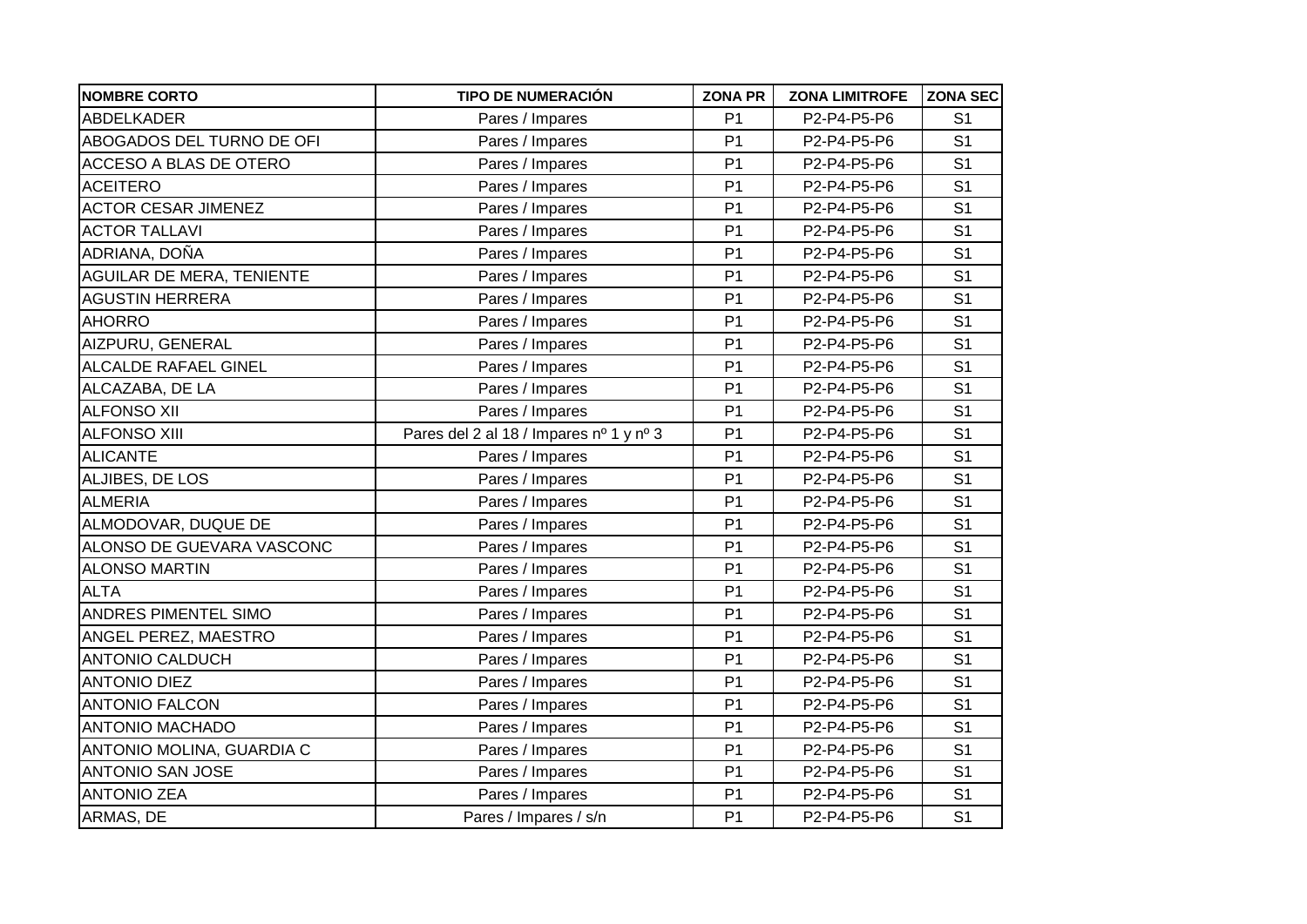| <b>NOMBRE CORTO</b>        | <b>TIPO DE NUMERACIÓN</b>               | <b>ZONA PR</b> | <b>ZONA LIMITROFE</b> | <b>ZONA SEC</b> |
|----------------------------|-----------------------------------------|----------------|-----------------------|-----------------|
| <b>ABDELKADER</b>          | Pares / Impares                         | P <sub>1</sub> | P2-P4-P5-P6           | S <sub>1</sub>  |
| ABOGADOS DEL TURNO DE OFI  | Pares / Impares                         | P <sub>1</sub> | P2-P4-P5-P6           | S <sub>1</sub>  |
| ACCESO A BLAS DE OTERO     | Pares / Impares                         | P <sub>1</sub> | P2-P4-P5-P6           | S <sub>1</sub>  |
| <b>ACEITERO</b>            | Pares / Impares                         | P <sub>1</sub> | P2-P4-P5-P6           | S <sub>1</sub>  |
| <b>ACTOR CESAR JIMENEZ</b> | Pares / Impares                         | P <sub>1</sub> | P2-P4-P5-P6           | S <sub>1</sub>  |
| <b>ACTOR TALLAVI</b>       | Pares / Impares                         | P <sub>1</sub> | P2-P4-P5-P6           | S <sub>1</sub>  |
| ADRIANA, DOÑA              | Pares / Impares                         | P <sub>1</sub> | P2-P4-P5-P6           | S <sub>1</sub>  |
| AGUILAR DE MERA, TENIENTE  | Pares / Impares                         | P <sub>1</sub> | P2-P4-P5-P6           | S <sub>1</sub>  |
| <b>AGUSTIN HERRERA</b>     | Pares / Impares                         | P <sub>1</sub> | P2-P4-P5-P6           | S <sub>1</sub>  |
| <b>AHORRO</b>              | Pares / Impares                         | P <sub>1</sub> | P2-P4-P5-P6           | S <sub>1</sub>  |
| AIZPURU, GENERAL           | Pares / Impares                         | P <sub>1</sub> | P2-P4-P5-P6           | S <sub>1</sub>  |
| ALCALDE RAFAEL GINEL       | Pares / Impares                         | P <sub>1</sub> | P2-P4-P5-P6           | S <sub>1</sub>  |
| ALCAZABA, DE LA            | Pares / Impares                         | P <sub>1</sub> | P2-P4-P5-P6           | S <sub>1</sub>  |
| <b>ALFONSO XII</b>         | Pares / Impares                         | P <sub>1</sub> | P2-P4-P5-P6           | S <sub>1</sub>  |
| <b>ALFONSO XIII</b>        | Pares del 2 al 18 / Impares nº 1 y nº 3 | P <sub>1</sub> | P2-P4-P5-P6           | S <sub>1</sub>  |
| <b>ALICANTE</b>            | Pares / Impares                         | P <sub>1</sub> | P2-P4-P5-P6           | S <sub>1</sub>  |
| ALJIBES, DE LOS            | Pares / Impares                         | P <sub>1</sub> | P2-P4-P5-P6           | S <sub>1</sub>  |
| <b>ALMERIA</b>             | Pares / Impares                         | P <sub>1</sub> | P2-P4-P5-P6           | S <sub>1</sub>  |
| ALMODOVAR, DUQUE DE        | Pares / Impares                         | P <sub>1</sub> | P2-P4-P5-P6           | S <sub>1</sub>  |
| ALONSO DE GUEVARA VASCONC  | Pares / Impares                         | P <sub>1</sub> | P2-P4-P5-P6           | S <sub>1</sub>  |
| <b>ALONSO MARTIN</b>       | Pares / Impares                         | P <sub>1</sub> | P2-P4-P5-P6           | S <sub>1</sub>  |
| <b>ALTA</b>                | Pares / Impares                         | P <sub>1</sub> | P2-P4-P5-P6           | S <sub>1</sub>  |
| ANDRES PIMENTEL SIMO       | Pares / Impares                         | P <sub>1</sub> | P2-P4-P5-P6           | S <sub>1</sub>  |
| ANGEL PEREZ, MAESTRO       | Pares / Impares                         | P <sub>1</sub> | P2-P4-P5-P6           | S <sub>1</sub>  |
| <b>ANTONIO CALDUCH</b>     | Pares / Impares                         | P <sub>1</sub> | P2-P4-P5-P6           | S <sub>1</sub>  |
| <b>ANTONIO DIEZ</b>        | Pares / Impares                         | P <sub>1</sub> | P2-P4-P5-P6           | S <sub>1</sub>  |
| <b>ANTONIO FALCON</b>      | Pares / Impares                         | P <sub>1</sub> | P2-P4-P5-P6           | S <sub>1</sub>  |
| <b>ANTONIO MACHADO</b>     | Pares / Impares                         | P <sub>1</sub> | P2-P4-P5-P6           | S <sub>1</sub>  |
| ANTONIO MOLINA, GUARDIA C  | Pares / Impares                         | P <sub>1</sub> | P2-P4-P5-P6           | S <sub>1</sub>  |
| <b>ANTONIO SAN JOSE</b>    | Pares / Impares                         | P <sub>1</sub> | P2-P4-P5-P6           | S <sub>1</sub>  |
| <b>ANTONIO ZEA</b>         | Pares / Impares                         | P <sub>1</sub> | P2-P4-P5-P6           | S <sub>1</sub>  |
| ARMAS, DE                  | Pares / Impares / s/n                   | P <sub>1</sub> | P2-P4-P5-P6           | S <sub>1</sub>  |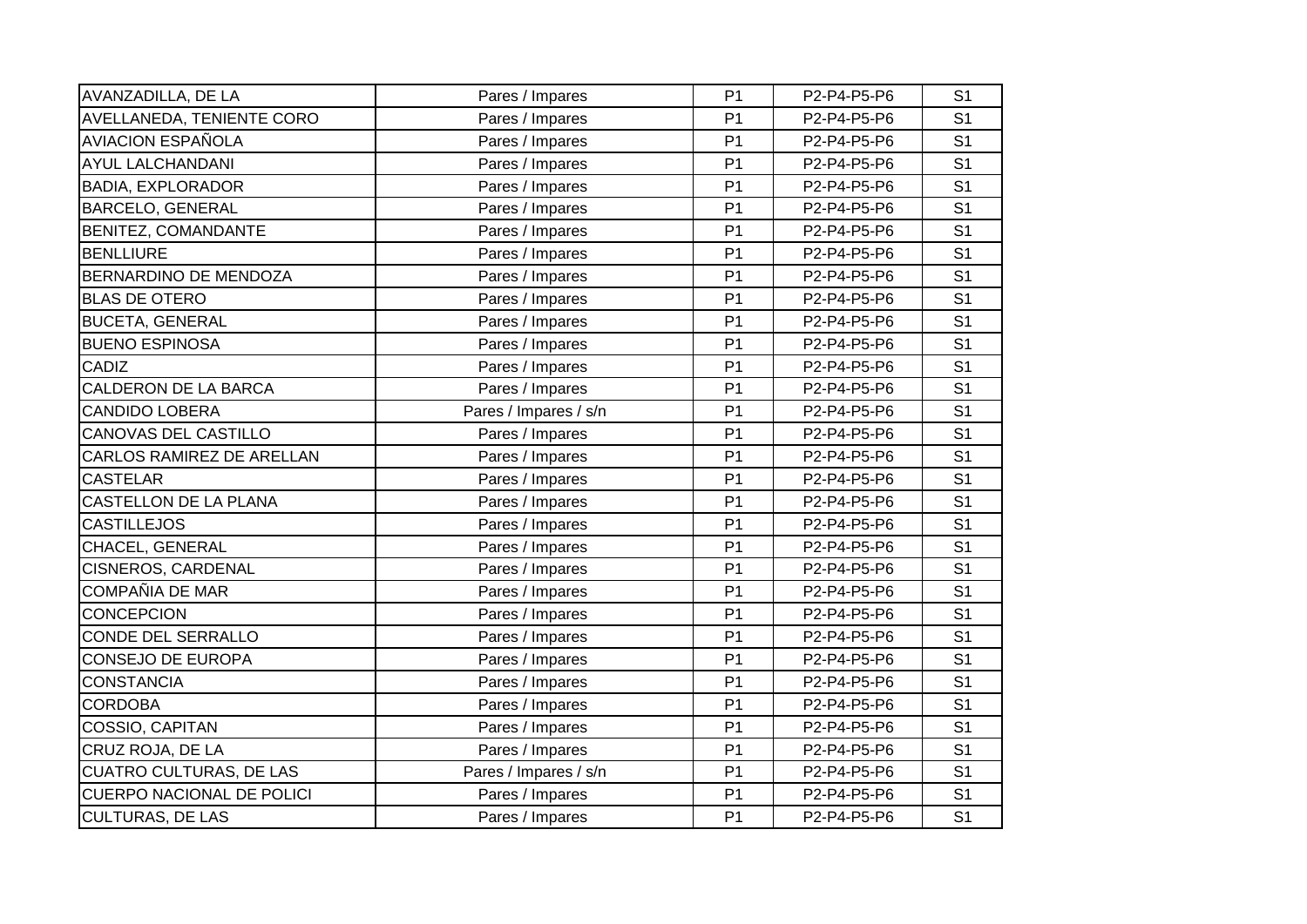| AVANZADILLA, DE LA               | Pares / Impares       | P <sub>1</sub> | P2-P4-P5-P6 | S <sub>1</sub> |
|----------------------------------|-----------------------|----------------|-------------|----------------|
| <b>AVELLANEDA, TENIENTE CORO</b> | Pares / Impares       | P <sub>1</sub> | P2-P4-P5-P6 | S <sub>1</sub> |
| <b>AVIACION ESPAÑOLA</b>         | Pares / Impares       | P <sub>1</sub> | P2-P4-P5-P6 | S <sub>1</sub> |
| <b>AYUL LALCHANDANI</b>          | Pares / Impares       | P <sub>1</sub> | P2-P4-P5-P6 | S <sub>1</sub> |
| <b>BADIA, EXPLORADOR</b>         | Pares / Impares       | P <sub>1</sub> | P2-P4-P5-P6 | S <sub>1</sub> |
| <b>BARCELO, GENERAL</b>          | Pares / Impares       | P <sub>1</sub> | P2-P4-P5-P6 | S <sub>1</sub> |
| BENITEZ, COMANDANTE              | Pares / Impares       | P <sub>1</sub> | P2-P4-P5-P6 | S <sub>1</sub> |
| <b>BENLLIURE</b>                 | Pares / Impares       | P <sub>1</sub> | P2-P4-P5-P6 | S <sub>1</sub> |
| BERNARDINO DE MENDOZA            | Pares / Impares       | P <sub>1</sub> | P2-P4-P5-P6 | S <sub>1</sub> |
| <b>BLAS DE OTERO</b>             | Pares / Impares       | P <sub>1</sub> | P2-P4-P5-P6 | S <sub>1</sub> |
| <b>BUCETA, GENERAL</b>           | Pares / Impares       | P <sub>1</sub> | P2-P4-P5-P6 | S <sub>1</sub> |
| <b>BUENO ESPINOSA</b>            | Pares / Impares       | P <sub>1</sub> | P2-P4-P5-P6 | S <sub>1</sub> |
| CADIZ                            | Pares / Impares       | P <sub>1</sub> | P2-P4-P5-P6 | S <sub>1</sub> |
| <b>CALDERON DE LA BARCA</b>      | Pares / Impares       | P <sub>1</sub> | P2-P4-P5-P6 | S <sub>1</sub> |
| <b>CANDIDO LOBERA</b>            | Pares / Impares / s/n | P <sub>1</sub> | P2-P4-P5-P6 | S <sub>1</sub> |
| <b>CANOVAS DEL CASTILLO</b>      | Pares / Impares       | P <sub>1</sub> | P2-P4-P5-P6 | S <sub>1</sub> |
| CARLOS RAMIREZ DE ARELLAN        | Pares / Impares       | P <sub>1</sub> | P2-P4-P5-P6 | S <sub>1</sub> |
| <b>CASTELAR</b>                  | Pares / Impares       | P <sub>1</sub> | P2-P4-P5-P6 | S <sub>1</sub> |
| CASTELLON DE LA PLANA            | Pares / Impares       | P <sub>1</sub> | P2-P4-P5-P6 | S <sub>1</sub> |
| <b>CASTILLEJOS</b>               | Pares / Impares       | P <sub>1</sub> | P2-P4-P5-P6 | S <sub>1</sub> |
| CHACEL, GENERAL                  | Pares / Impares       | P <sub>1</sub> | P2-P4-P5-P6 | S <sub>1</sub> |
| <b>CISNEROS, CARDENAL</b>        | Pares / Impares       | P <sub>1</sub> | P2-P4-P5-P6 | S <sub>1</sub> |
| COMPAÑIA DE MAR                  | Pares / Impares       | P <sub>1</sub> | P2-P4-P5-P6 | S <sub>1</sub> |
| <b>CONCEPCION</b>                | Pares / Impares       | P <sub>1</sub> | P2-P4-P5-P6 | S <sub>1</sub> |
| <b>CONDE DEL SERRALLO</b>        | Pares / Impares       | P <sub>1</sub> | P2-P4-P5-P6 | S <sub>1</sub> |
| <b>CONSEJO DE EUROPA</b>         | Pares / Impares       | P <sub>1</sub> | P2-P4-P5-P6 | S <sub>1</sub> |
| <b>CONSTANCIA</b>                | Pares / Impares       | P <sub>1</sub> | P2-P4-P5-P6 | S <sub>1</sub> |
| <b>CORDOBA</b>                   | Pares / Impares       | P <sub>1</sub> | P2-P4-P5-P6 | S <sub>1</sub> |
| COSSIO, CAPITAN                  | Pares / Impares       | P <sub>1</sub> | P2-P4-P5-P6 | S <sub>1</sub> |
| CRUZ ROJA, DE LA                 | Pares / Impares       | P <sub>1</sub> | P2-P4-P5-P6 | S <sub>1</sub> |
| <b>CUATRO CULTURAS, DE LAS</b>   | Pares / Impares / s/n | P <sub>1</sub> | P2-P4-P5-P6 | S <sub>1</sub> |
| <b>CUERPO NACIONAL DE POLICI</b> | Pares / Impares       | P <sub>1</sub> | P2-P4-P5-P6 | S <sub>1</sub> |
| <b>CULTURAS, DE LAS</b>          | Pares / Impares       | P <sub>1</sub> | P2-P4-P5-P6 | S <sub>1</sub> |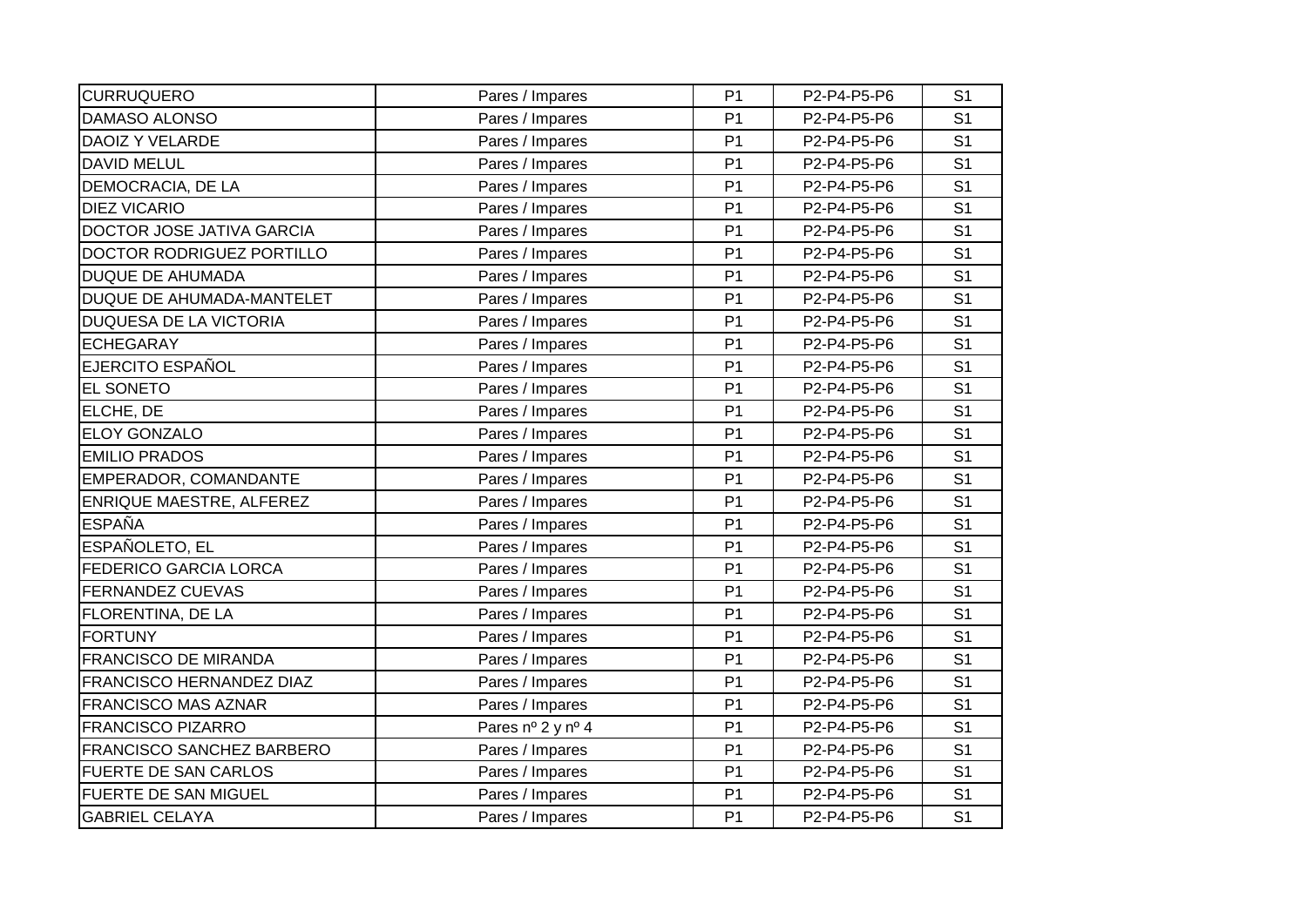| <b>CURRUQUERO</b>                | Pares / Impares   | P <sub>1</sub> | P2-P4-P5-P6 | S <sub>1</sub> |
|----------------------------------|-------------------|----------------|-------------|----------------|
| DAMASO ALONSO                    | Pares / Impares   | P <sub>1</sub> | P2-P4-P5-P6 | S <sub>1</sub> |
| DAOIZ Y VELARDE                  | Pares / Impares   | P <sub>1</sub> | P2-P4-P5-P6 | S <sub>1</sub> |
| <b>DAVID MELUL</b>               | Pares / Impares   | P <sub>1</sub> | P2-P4-P5-P6 | S <sub>1</sub> |
| DEMOCRACIA, DE LA                | Pares / Impares   | P <sub>1</sub> | P2-P4-P5-P6 | S <sub>1</sub> |
| <b>DIEZ VICARIO</b>              | Pares / Impares   | P <sub>1</sub> | P2-P4-P5-P6 | S <sub>1</sub> |
| DOCTOR JOSE JATIVA GARCIA        | Pares / Impares   | P <sub>1</sub> | P2-P4-P5-P6 | S <sub>1</sub> |
| DOCTOR RODRIGUEZ PORTILLO        | Pares / Impares   | P <sub>1</sub> | P2-P4-P5-P6 | S <sub>1</sub> |
| <b>DUQUE DE AHUMADA</b>          | Pares / Impares   | P <sub>1</sub> | P2-P4-P5-P6 | S <sub>1</sub> |
| DUQUE DE AHUMADA-MANTELET        | Pares / Impares   | P <sub>1</sub> | P2-P4-P5-P6 | S <sub>1</sub> |
| <b>DUQUESA DE LA VICTORIA</b>    | Pares / Impares   | P <sub>1</sub> | P2-P4-P5-P6 | S <sub>1</sub> |
| <b>ECHEGARAY</b>                 | Pares / Impares   | P <sub>1</sub> | P2-P4-P5-P6 | S <sub>1</sub> |
| EJERCITO ESPAÑOL                 | Pares / Impares   | P <sub>1</sub> | P2-P4-P5-P6 | S <sub>1</sub> |
| EL SONETO                        | Pares / Impares   | P <sub>1</sub> | P2-P4-P5-P6 | S <sub>1</sub> |
| ELCHE, DE                        | Pares / Impares   | P <sub>1</sub> | P2-P4-P5-P6 | S <sub>1</sub> |
| ELOY GONZALO                     | Pares / Impares   | P <sub>1</sub> | P2-P4-P5-P6 | S <sub>1</sub> |
| <b>EMILIO PRADOS</b>             | Pares / Impares   | P <sub>1</sub> | P2-P4-P5-P6 | S <sub>1</sub> |
| EMPERADOR, COMANDANTE            | Pares / Impares   | P <sub>1</sub> | P2-P4-P5-P6 | S <sub>1</sub> |
| ENRIQUE MAESTRE, ALFEREZ         | Pares / Impares   | P <sub>1</sub> | P2-P4-P5-P6 | S <sub>1</sub> |
| <b>ESPAÑA</b>                    | Pares / Impares   | P <sub>1</sub> | P2-P4-P5-P6 | S <sub>1</sub> |
| ESPAÑOLETO, EL                   | Pares / Impares   | P <sub>1</sub> | P2-P4-P5-P6 | S <sub>1</sub> |
| <b>FEDERICO GARCIA LORCA</b>     | Pares / Impares   | P <sub>1</sub> | P2-P4-P5-P6 | S <sub>1</sub> |
| <b>FERNANDEZ CUEVAS</b>          | Pares / Impares   | P <sub>1</sub> | P2-P4-P5-P6 | S <sub>1</sub> |
| FLORENTINA, DE LA                | Pares / Impares   | P <sub>1</sub> | P2-P4-P5-P6 | S <sub>1</sub> |
| <b>FORTUNY</b>                   | Pares / Impares   | P <sub>1</sub> | P2-P4-P5-P6 | S <sub>1</sub> |
| <b>FRANCISCO DE MIRANDA</b>      | Pares / Impares   | P <sub>1</sub> | P2-P4-P5-P6 | S <sub>1</sub> |
| FRANCISCO HERNANDEZ DIAZ         | Pares / Impares   | P <sub>1</sub> | P2-P4-P5-P6 | S <sub>1</sub> |
| <b>FRANCISCO MAS AZNAR</b>       | Pares / Impares   | P <sub>1</sub> | P2-P4-P5-P6 | S <sub>1</sub> |
| <b>FRANCISCO PIZARRO</b>         | Pares nº 2 y nº 4 | P <sub>1</sub> | P2-P4-P5-P6 | S <sub>1</sub> |
| <b>FRANCISCO SANCHEZ BARBERO</b> | Pares / Impares   | P <sub>1</sub> | P2-P4-P5-P6 | S <sub>1</sub> |
| FUERTE DE SAN CARLOS             | Pares / Impares   | P <sub>1</sub> | P2-P4-P5-P6 | S <sub>1</sub> |
| <b>FUERTE DE SAN MIGUEL</b>      | Pares / Impares   | P <sub>1</sub> | P2-P4-P5-P6 | S <sub>1</sub> |
| <b>GABRIEL CELAYA</b>            | Pares / Impares   | P <sub>1</sub> | P2-P4-P5-P6 | S <sub>1</sub> |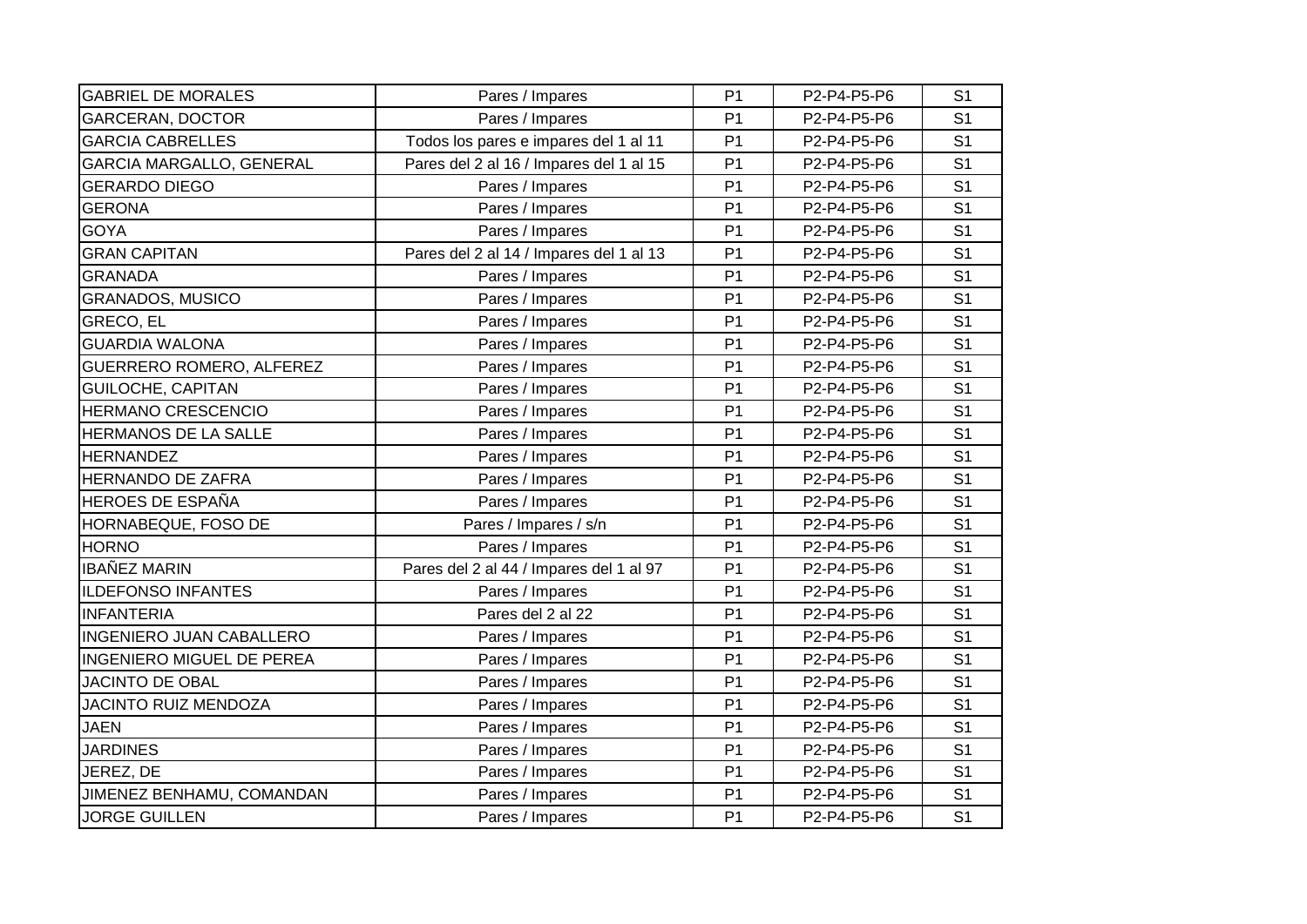| <b>GABRIEL DE MORALES</b>        | Pares / Impares                         | P <sub>1</sub> | P2-P4-P5-P6 | S <sub>1</sub> |
|----------------------------------|-----------------------------------------|----------------|-------------|----------------|
| <b>GARCERAN, DOCTOR</b>          | Pares / Impares                         | P <sub>1</sub> | P2-P4-P5-P6 | S <sub>1</sub> |
| <b>GARCIA CABRELLES</b>          | Todos los pares e impares del 1 al 11   | P <sub>1</sub> | P2-P4-P5-P6 | S <sub>1</sub> |
| <b>GARCIA MARGALLO, GENERAL</b>  | Pares del 2 al 16 / Impares del 1 al 15 | P <sub>1</sub> | P2-P4-P5-P6 | S <sub>1</sub> |
| <b>GERARDO DIEGO</b>             | Pares / Impares                         | P <sub>1</sub> | P2-P4-P5-P6 | S <sub>1</sub> |
| <b>GERONA</b>                    | Pares / Impares                         | P <sub>1</sub> | P2-P4-P5-P6 | S <sub>1</sub> |
| <b>GOYA</b>                      | Pares / Impares                         | P <sub>1</sub> | P2-P4-P5-P6 | S <sub>1</sub> |
| <b>GRAN CAPITAN</b>              | Pares del 2 al 14 / Impares del 1 al 13 | P <sub>1</sub> | P2-P4-P5-P6 | S <sub>1</sub> |
| <b>GRANADA</b>                   | Pares / Impares                         | P <sub>1</sub> | P2-P4-P5-P6 | S <sub>1</sub> |
| <b>GRANADOS, MUSICO</b>          | Pares / Impares                         | P <sub>1</sub> | P2-P4-P5-P6 | S <sub>1</sub> |
| GRECO, EL                        | Pares / Impares                         | P <sub>1</sub> | P2-P4-P5-P6 | S <sub>1</sub> |
| <b>GUARDIA WALONA</b>            | Pares / Impares                         | P <sub>1</sub> | P2-P4-P5-P6 | S <sub>1</sub> |
| <b>GUERRERO ROMERO, ALFEREZ</b>  | Pares / Impares                         | P <sub>1</sub> | P2-P4-P5-P6 | S <sub>1</sub> |
| GUILOCHE, CAPITAN                | Pares / Impares                         | P <sub>1</sub> | P2-P4-P5-P6 | S <sub>1</sub> |
| HERMANO CRESCENCIO               | Pares / Impares                         | P <sub>1</sub> | P2-P4-P5-P6 | S <sub>1</sub> |
| HERMANOS DE LA SALLE             | Pares / Impares                         | P <sub>1</sub> | P2-P4-P5-P6 | S <sub>1</sub> |
| <b>HERNANDEZ</b>                 | Pares / Impares                         | P <sub>1</sub> | P2-P4-P5-P6 | S <sub>1</sub> |
| <b>HERNANDO DE ZAFRA</b>         | Pares / Impares                         | P <sub>1</sub> | P2-P4-P5-P6 | S <sub>1</sub> |
| <b>HEROES DE ESPAÑA</b>          | Pares / Impares                         | P <sub>1</sub> | P2-P4-P5-P6 | S <sub>1</sub> |
| HORNABEQUE, FOSO DE              | Pares / Impares / s/n                   | P <sub>1</sub> | P2-P4-P5-P6 | S <sub>1</sub> |
| <b>HORNO</b>                     | Pares / Impares                         | P <sub>1</sub> | P2-P4-P5-P6 | S <sub>1</sub> |
| <b>IBAÑEZ MARIN</b>              | Pares del 2 al 44 / Impares del 1 al 97 | P <sub>1</sub> | P2-P4-P5-P6 | S <sub>1</sub> |
| <b>ILDEFONSO INFANTES</b>        | Pares / Impares                         | P <sub>1</sub> | P2-P4-P5-P6 | S <sub>1</sub> |
| <b>INFANTERIA</b>                | Pares del 2 al 22                       | P <sub>1</sub> | P2-P4-P5-P6 | S <sub>1</sub> |
| <b>INGENIERO JUAN CABALLERO</b>  | Pares / Impares                         | P <sub>1</sub> | P2-P4-P5-P6 | S <sub>1</sub> |
| <b>INGENIERO MIGUEL DE PEREA</b> | Pares / Impares                         | P <sub>1</sub> | P2-P4-P5-P6 | S <sub>1</sub> |
| <b>JACINTO DE OBAL</b>           | Pares / Impares                         | P <sub>1</sub> | P2-P4-P5-P6 | S <sub>1</sub> |
| <b>JACINTO RUIZ MENDOZA</b>      | Pares / Impares                         | P <sub>1</sub> | P2-P4-P5-P6 | S <sub>1</sub> |
| <b>JAEN</b>                      | Pares / Impares                         | P <sub>1</sub> | P2-P4-P5-P6 | S <sub>1</sub> |
| <b>JARDINES</b>                  | Pares / Impares                         | P <sub>1</sub> | P2-P4-P5-P6 | S <sub>1</sub> |
| JEREZ, DE                        | Pares / Impares                         | P <sub>1</sub> | P2-P4-P5-P6 | S <sub>1</sub> |
| JIMENEZ BENHAMU, COMANDAN        | Pares / Impares                         | P <sub>1</sub> | P2-P4-P5-P6 | S <sub>1</sub> |
| <b>JORGE GUILLEN</b>             | Pares / Impares                         | P <sub>1</sub> | P2-P4-P5-P6 | S <sub>1</sub> |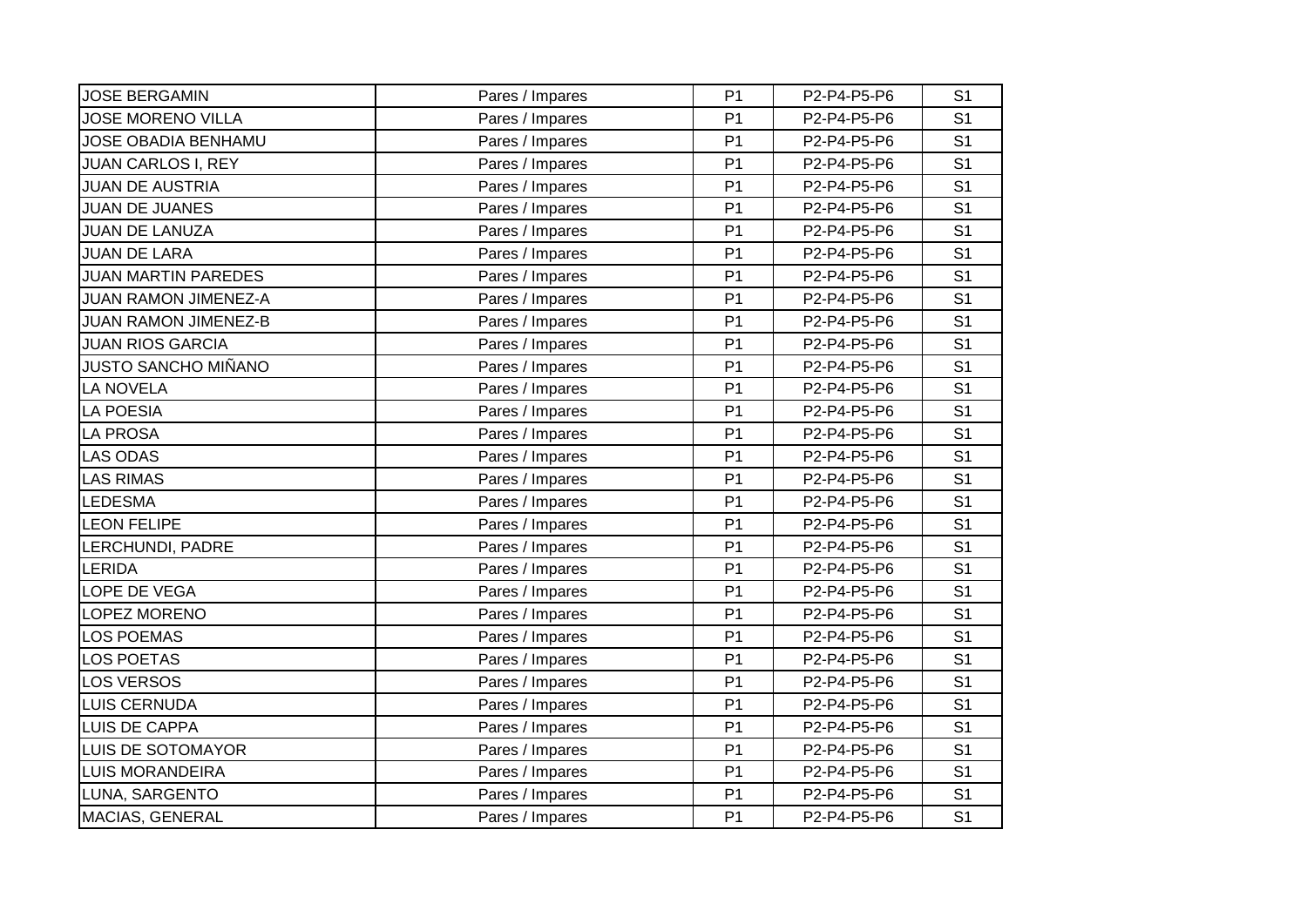| <b>JOSE BERGAMIN</b>        | Pares / Impares | P <sub>1</sub> | P2-P4-P5-P6 | S <sub>1</sub> |
|-----------------------------|-----------------|----------------|-------------|----------------|
| <b>JOSE MORENO VILLA</b>    | Pares / Impares | P <sub>1</sub> | P2-P4-P5-P6 | S <sub>1</sub> |
| JOSE OBADIA BENHAMU         | Pares / Impares | P <sub>1</sub> | P2-P4-P5-P6 | S <sub>1</sub> |
| <b>JUAN CARLOS I, REY</b>   | Pares / Impares | P <sub>1</sub> | P2-P4-P5-P6 | S <sub>1</sub> |
| <b>JUAN DE AUSTRIA</b>      | Pares / Impares | P <sub>1</sub> | P2-P4-P5-P6 | S <sub>1</sub> |
| <b>JUAN DE JUANES</b>       | Pares / Impares | P <sub>1</sub> | P2-P4-P5-P6 | S <sub>1</sub> |
| <b>JUAN DE LANUZA</b>       | Pares / Impares | P <sub>1</sub> | P2-P4-P5-P6 | S <sub>1</sub> |
| <b>JUAN DE LARA</b>         | Pares / Impares | P <sub>1</sub> | P2-P4-P5-P6 | S <sub>1</sub> |
| <b>JUAN MARTIN PAREDES</b>  | Pares / Impares | P <sub>1</sub> | P2-P4-P5-P6 | S <sub>1</sub> |
| JUAN RAMON JIMENEZ-A        | Pares / Impares | P <sub>1</sub> | P2-P4-P5-P6 | S <sub>1</sub> |
| <b>JUAN RAMON JIMENEZ-B</b> | Pares / Impares | P <sub>1</sub> | P2-P4-P5-P6 | S <sub>1</sub> |
| <b>JUAN RIOS GARCIA</b>     | Pares / Impares | P <sub>1</sub> | P2-P4-P5-P6 | S <sub>1</sub> |
| JUSTO SANCHO MIÑANO         | Pares / Impares | P <sub>1</sub> | P2-P4-P5-P6 | S <sub>1</sub> |
| <b>LA NOVELA</b>            | Pares / Impares | P <sub>1</sub> | P2-P4-P5-P6 | S <sub>1</sub> |
| <b>LA POESIA</b>            | Pares / Impares | P <sub>1</sub> | P2-P4-P5-P6 | S <sub>1</sub> |
| <b>LA PROSA</b>             | Pares / Impares | P <sub>1</sub> | P2-P4-P5-P6 | S <sub>1</sub> |
| <b>LAS ODAS</b>             | Pares / Impares | P <sub>1</sub> | P2-P4-P5-P6 | S <sub>1</sub> |
| <b>LAS RIMAS</b>            | Pares / Impares | P <sub>1</sub> | P2-P4-P5-P6 | S <sub>1</sub> |
| <b>LEDESMA</b>              | Pares / Impares | P <sub>1</sub> | P2-P4-P5-P6 | S <sub>1</sub> |
| <b>LEON FELIPE</b>          | Pares / Impares | P <sub>1</sub> | P2-P4-P5-P6 | S <sub>1</sub> |
| LERCHUNDI, PADRE            | Pares / Impares | P <sub>1</sub> | P2-P4-P5-P6 | S <sub>1</sub> |
| <b>LERIDA</b>               | Pares / Impares | P <sub>1</sub> | P2-P4-P5-P6 | S <sub>1</sub> |
| LOPE DE VEGA                | Pares / Impares | P <sub>1</sub> | P2-P4-P5-P6 | S <sub>1</sub> |
| LOPEZ MORENO                | Pares / Impares | P <sub>1</sub> | P2-P4-P5-P6 | S <sub>1</sub> |
| <b>LOS POEMAS</b>           | Pares / Impares | P <sub>1</sub> | P2-P4-P5-P6 | S <sub>1</sub> |
| <b>LOS POETAS</b>           | Pares / Impares | P <sub>1</sub> | P2-P4-P5-P6 | S <sub>1</sub> |
| <b>LOS VERSOS</b>           | Pares / Impares | P <sub>1</sub> | P2-P4-P5-P6 | S <sub>1</sub> |
| <b>LUIS CERNUDA</b>         | Pares / Impares | P <sub>1</sub> | P2-P4-P5-P6 | S <sub>1</sub> |
| LUIS DE CAPPA               | Pares / Impares | P <sub>1</sub> | P2-P4-P5-P6 | S <sub>1</sub> |
| LUIS DE SOTOMAYOR           | Pares / Impares | P <sub>1</sub> | P2-P4-P5-P6 | S <sub>1</sub> |
| <b>LUIS MORANDEIRA</b>      | Pares / Impares | P <sub>1</sub> | P2-P4-P5-P6 | S <sub>1</sub> |
| LUNA, SARGENTO              | Pares / Impares | P <sub>1</sub> | P2-P4-P5-P6 | S <sub>1</sub> |
| MACIAS, GENERAL             | Pares / Impares | P <sub>1</sub> | P2-P4-P5-P6 | S <sub>1</sub> |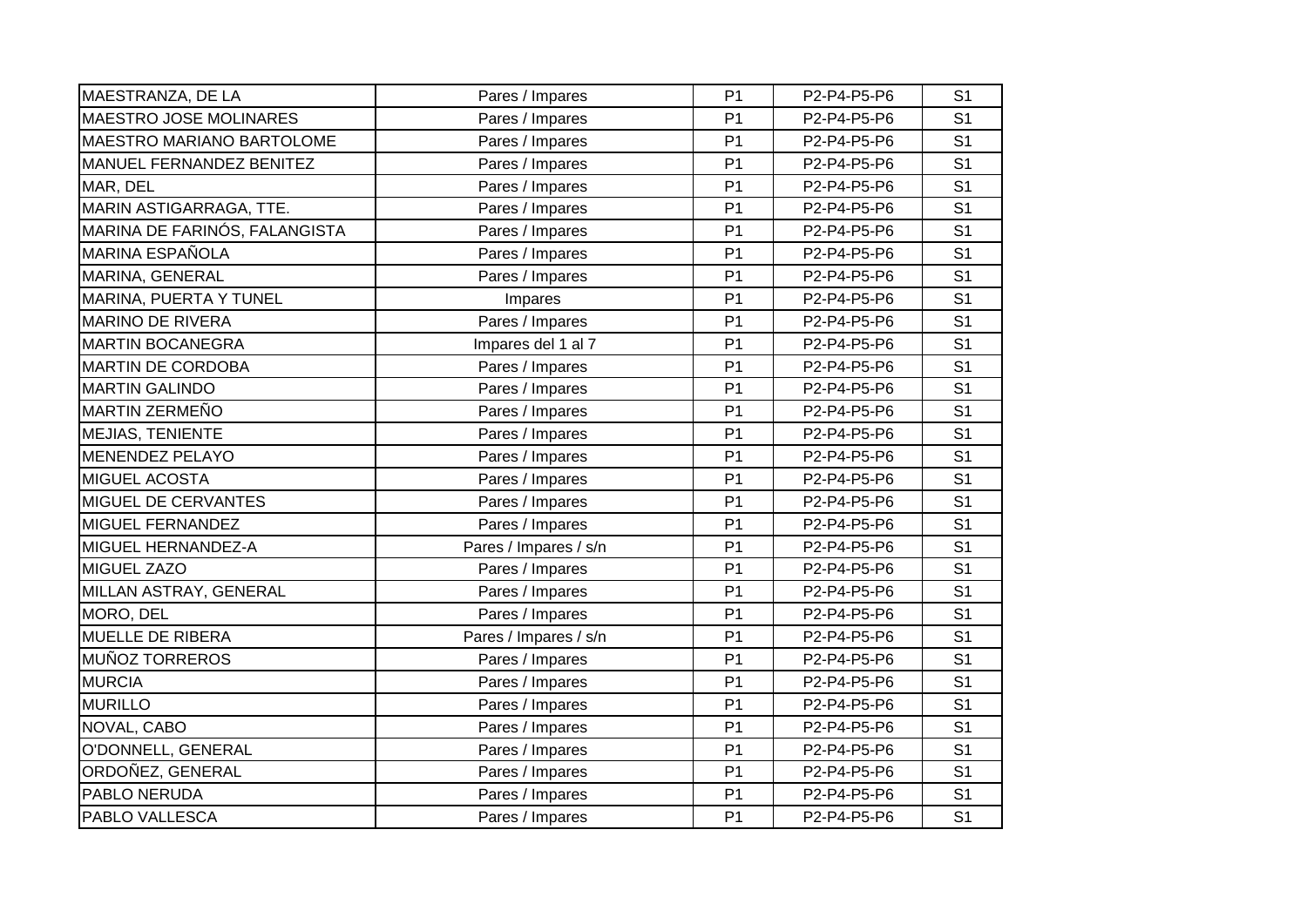| MAESTRANZA, DE LA                | Pares / Impares       | P <sub>1</sub> | P2-P4-P5-P6 | S <sub>1</sub> |
|----------------------------------|-----------------------|----------------|-------------|----------------|
| <b>MAESTRO JOSE MOLINARES</b>    | Pares / Impares       | P <sub>1</sub> | P2-P4-P5-P6 | S <sub>1</sub> |
| <b>MAESTRO MARIANO BARTOLOME</b> | Pares / Impares       | P <sub>1</sub> | P2-P4-P5-P6 | S <sub>1</sub> |
| MANUEL FERNANDEZ BENITEZ         | Pares / Impares       | P <sub>1</sub> | P2-P4-P5-P6 | S <sub>1</sub> |
| MAR, DEL                         | Pares / Impares       | P <sub>1</sub> | P2-P4-P5-P6 | S <sub>1</sub> |
| MARIN ASTIGARRAGA, TTE.          | Pares / Impares       | P <sub>1</sub> | P2-P4-P5-P6 | S <sub>1</sub> |
| MARINA DE FARINÓS, FALANGISTA    | Pares / Impares       | P <sub>1</sub> | P2-P4-P5-P6 | S <sub>1</sub> |
| <b>MARINA ESPAÑOLA</b>           | Pares / Impares       | P <sub>1</sub> | P2-P4-P5-P6 | S <sub>1</sub> |
| MARINA, GENERAL                  | Pares / Impares       | P <sub>1</sub> | P2-P4-P5-P6 | S <sub>1</sub> |
| MARINA, PUERTA Y TUNEL           | Impares               | P <sub>1</sub> | P2-P4-P5-P6 | S <sub>1</sub> |
| <b>MARINO DE RIVERA</b>          | Pares / Impares       | P <sub>1</sub> | P2-P4-P5-P6 | S <sub>1</sub> |
| <b>MARTIN BOCANEGRA</b>          | Impares del 1 al 7    | P <sub>1</sub> | P2-P4-P5-P6 | S <sub>1</sub> |
| <b>MARTIN DE CORDOBA</b>         | Pares / Impares       | P <sub>1</sub> | P2-P4-P5-P6 | S <sub>1</sub> |
| <b>MARTIN GALINDO</b>            | Pares / Impares       | P <sub>1</sub> | P2-P4-P5-P6 | S <sub>1</sub> |
| <b>MARTIN ZERMEÑO</b>            | Pares / Impares       | P <sub>1</sub> | P2-P4-P5-P6 | S <sub>1</sub> |
| MEJIAS, TENIENTE                 | Pares / Impares       | P <sub>1</sub> | P2-P4-P5-P6 | S <sub>1</sub> |
| <b>MENENDEZ PELAYO</b>           | Pares / Impares       | P <sub>1</sub> | P2-P4-P5-P6 | S <sub>1</sub> |
| <b>MIGUEL ACOSTA</b>             | Pares / Impares       | P <sub>1</sub> | P2-P4-P5-P6 | S <sub>1</sub> |
| MIGUEL DE CERVANTES              | Pares / Impares       | P <sub>1</sub> | P2-P4-P5-P6 | S <sub>1</sub> |
| MIGUEL FERNANDEZ                 | Pares / Impares       | P <sub>1</sub> | P2-P4-P5-P6 | S <sub>1</sub> |
| MIGUEL HERNANDEZ-A               | Pares / Impares / s/n | P <sub>1</sub> | P2-P4-P5-P6 | S <sub>1</sub> |
| <b>MIGUEL ZAZO</b>               | Pares / Impares       | P <sub>1</sub> | P2-P4-P5-P6 | S <sub>1</sub> |
| MILLAN ASTRAY, GENERAL           | Pares / Impares       | P <sub>1</sub> | P2-P4-P5-P6 | S <sub>1</sub> |
| MORO, DEL                        | Pares / Impares       | P <sub>1</sub> | P2-P4-P5-P6 | S <sub>1</sub> |
| MUELLE DE RIBERA                 | Pares / Impares / s/n | P <sub>1</sub> | P2-P4-P5-P6 | S <sub>1</sub> |
| <b>MUÑOZ TORREROS</b>            | Pares / Impares       | P <sub>1</sub> | P2-P4-P5-P6 | S <sub>1</sub> |
| <b>MURCIA</b>                    | Pares / Impares       | P <sub>1</sub> | P2-P4-P5-P6 | S <sub>1</sub> |
| <b>MURILLO</b>                   | Pares / Impares       | P <sub>1</sub> | P2-P4-P5-P6 | S <sub>1</sub> |
| NOVAL, CABO                      | Pares / Impares       | P <sub>1</sub> | P2-P4-P5-P6 | S <sub>1</sub> |
| O'DONNELL, GENERAL               | Pares / Impares       | P <sub>1</sub> | P2-P4-P5-P6 | S <sub>1</sub> |
| ORDOÑEZ, GENERAL                 | Pares / Impares       | P <sub>1</sub> | P2-P4-P5-P6 | S <sub>1</sub> |
| PABLO NERUDA                     | Pares / Impares       | P <sub>1</sub> | P2-P4-P5-P6 | S <sub>1</sub> |
| PABLO VALLESCA                   | Pares / Impares       | P <sub>1</sub> | P2-P4-P5-P6 | S <sub>1</sub> |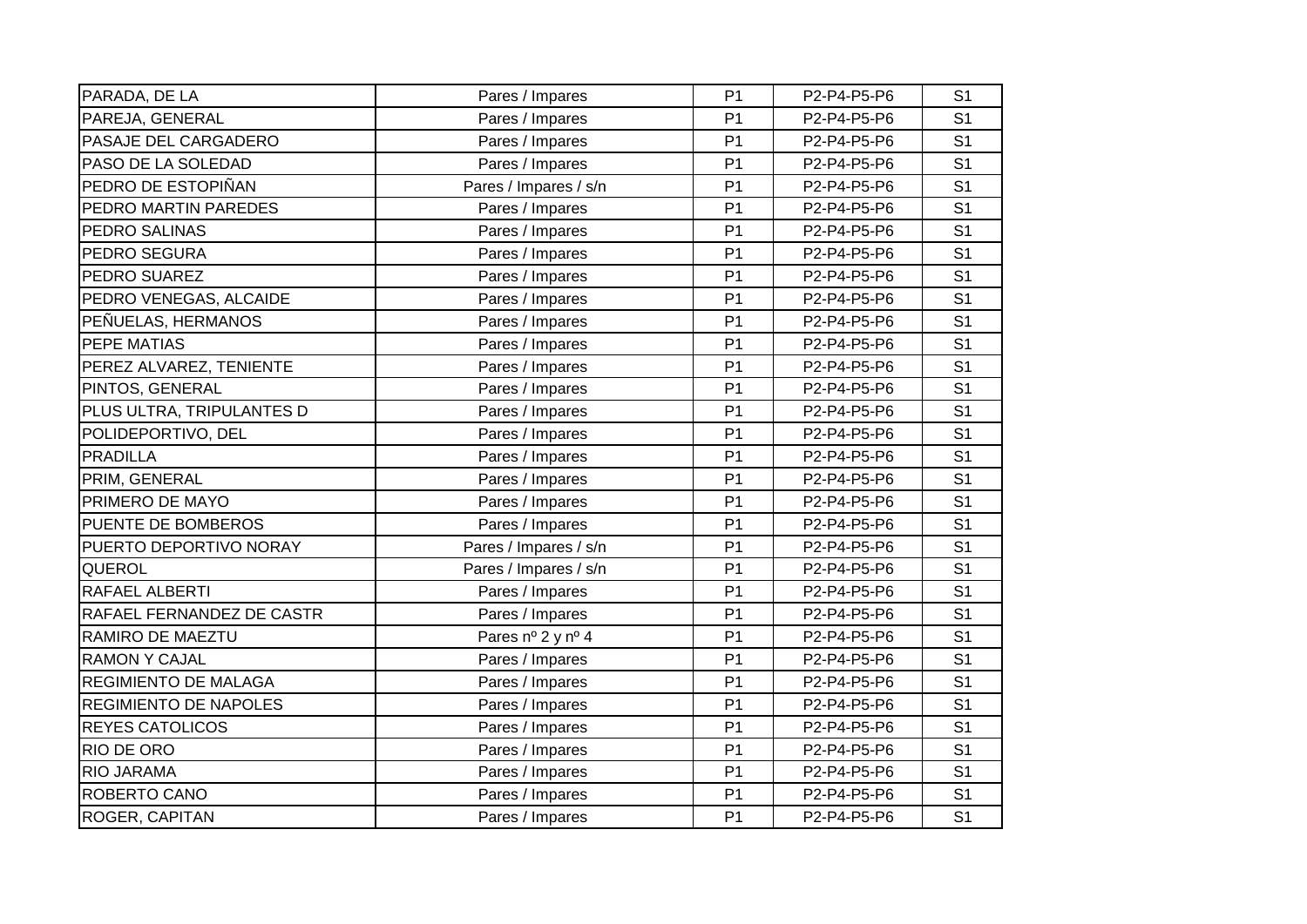| PARADA, DE LA                | Pares / Impares       | P <sub>1</sub> | P2-P4-P5-P6 | S <sub>1</sub> |
|------------------------------|-----------------------|----------------|-------------|----------------|
| PAREJA, GENERAL              |                       | P <sub>1</sub> | P2-P4-P5-P6 | S <sub>1</sub> |
| PASAJE DEL CARGADERO         | Pares / Impares       |                |             |                |
|                              | Pares / Impares       | P <sub>1</sub> | P2-P4-P5-P6 | S <sub>1</sub> |
| PASO DE LA SOLEDAD           | Pares / Impares       | P <sub>1</sub> | P2-P4-P5-P6 | S <sub>1</sub> |
| PEDRO DE ESTOPIÑAN           | Pares / Impares / s/n | P <sub>1</sub> | P2-P4-P5-P6 | S <sub>1</sub> |
| PEDRO MARTIN PAREDES         | Pares / Impares       | P <sub>1</sub> | P2-P4-P5-P6 | S <sub>1</sub> |
| PEDRO SALINAS                | Pares / Impares       | P <sub>1</sub> | P2-P4-P5-P6 | S <sub>1</sub> |
| PEDRO SEGURA                 | Pares / Impares       | P <sub>1</sub> | P2-P4-P5-P6 | S <sub>1</sub> |
| PEDRO SUAREZ                 | Pares / Impares       | P <sub>1</sub> | P2-P4-P5-P6 | S <sub>1</sub> |
| PEDRO VENEGAS, ALCAIDE       | Pares / Impares       | P <sub>1</sub> | P2-P4-P5-P6 | S <sub>1</sub> |
| PEÑUELAS, HERMANOS           | Pares / Impares       | P <sub>1</sub> | P2-P4-P5-P6 | S <sub>1</sub> |
| PEPE MATIAS                  | Pares / Impares       | P <sub>1</sub> | P2-P4-P5-P6 | S <sub>1</sub> |
| PEREZ ALVAREZ, TENIENTE      | Pares / Impares       | P <sub>1</sub> | P2-P4-P5-P6 | S <sub>1</sub> |
| PINTOS, GENERAL              | Pares / Impares       | P <sub>1</sub> | P2-P4-P5-P6 | S <sub>1</sub> |
| PLUS ULTRA, TRIPULANTES D    | Pares / Impares       | P <sub>1</sub> | P2-P4-P5-P6 | S <sub>1</sub> |
| POLIDEPORTIVO, DEL           | Pares / Impares       | P <sub>1</sub> | P2-P4-P5-P6 | S <sub>1</sub> |
| <b>PRADILLA</b>              | Pares / Impares       | P <sub>1</sub> | P2-P4-P5-P6 | S <sub>1</sub> |
| PRIM, GENERAL                | Pares / Impares       | P <sub>1</sub> | P2-P4-P5-P6 | S <sub>1</sub> |
| PRIMERO DE MAYO              | Pares / Impares       | P <sub>1</sub> | P2-P4-P5-P6 | S <sub>1</sub> |
| PUENTE DE BOMBEROS           | Pares / Impares       | P <sub>1</sub> | P2-P4-P5-P6 | S <sub>1</sub> |
| PUERTO DEPORTIVO NORAY       | Pares / Impares / s/n | P <sub>1</sub> | P2-P4-P5-P6 | S <sub>1</sub> |
| QUEROL                       | Pares / Impares / s/n | P <sub>1</sub> | P2-P4-P5-P6 | S <sub>1</sub> |
| RAFAEL ALBERTI               | Pares / Impares       | P <sub>1</sub> | P2-P4-P5-P6 | S <sub>1</sub> |
| RAFAEL FERNANDEZ DE CASTR    | Pares / Impares       | P <sub>1</sub> | P2-P4-P5-P6 | S <sub>1</sub> |
| RAMIRO DE MAEZTU             | Pares nº 2 y nº 4     | P <sub>1</sub> | P2-P4-P5-P6 | S <sub>1</sub> |
| <b>RAMON Y CAJAL</b>         | Pares / Impares       | P <sub>1</sub> | P2-P4-P5-P6 | S <sub>1</sub> |
| <b>REGIMIENTO DE MALAGA</b>  | Pares / Impares       | P <sub>1</sub> | P2-P4-P5-P6 | S <sub>1</sub> |
| <b>REGIMIENTO DE NAPOLES</b> | Pares / Impares       | P <sub>1</sub> | P2-P4-P5-P6 | S <sub>1</sub> |
| <b>REYES CATOLICOS</b>       | Pares / Impares       | P <sub>1</sub> | P2-P4-P5-P6 | S <sub>1</sub> |
| RIO DE ORO                   | Pares / Impares       | P <sub>1</sub> | P2-P4-P5-P6 | S <sub>1</sub> |
| RIO JARAMA                   | Pares / Impares       | P <sub>1</sub> | P2-P4-P5-P6 | S <sub>1</sub> |
| ROBERTO CANO                 | Pares / Impares       | P <sub>1</sub> | P2-P4-P5-P6 | S <sub>1</sub> |
| ROGER, CAPITAN               | Pares / Impares       | P <sub>1</sub> | P2-P4-P5-P6 | S <sub>1</sub> |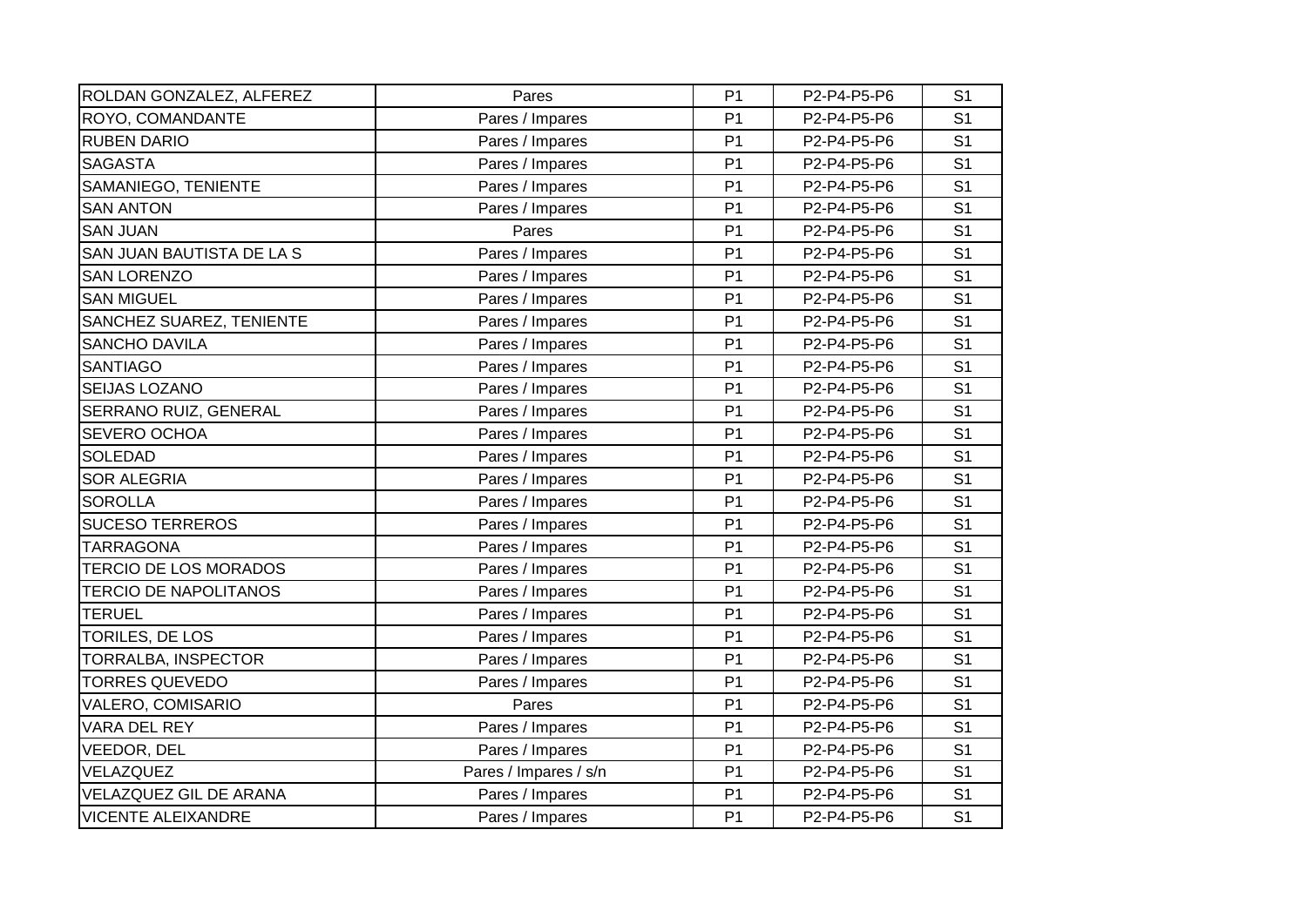| ROLDAN GONZALEZ, ALFEREZ     | Pares                 | P <sub>1</sub> | P2-P4-P5-P6 | S <sub>1</sub> |
|------------------------------|-----------------------|----------------|-------------|----------------|
| ROYO, COMANDANTE             | Pares / Impares       | P <sub>1</sub> | P2-P4-P5-P6 | S <sub>1</sub> |
| <b>RUBEN DARIO</b>           | Pares / Impares       | P <sub>1</sub> | P2-P4-P5-P6 | S <sub>1</sub> |
| <b>SAGASTA</b>               | Pares / Impares       | P <sub>1</sub> | P2-P4-P5-P6 | S <sub>1</sub> |
| SAMANIEGO, TENIENTE          | Pares / Impares       | P <sub>1</sub> | P2-P4-P5-P6 | S <sub>1</sub> |
| <b>SAN ANTON</b>             | Pares / Impares       | P <sub>1</sub> | P2-P4-P5-P6 | S <sub>1</sub> |
| <b>SAN JUAN</b>              | Pares                 | P <sub>1</sub> | P2-P4-P5-P6 | S <sub>1</sub> |
| SAN JUAN BAUTISTA DE LA S    | Pares / Impares       | P <sub>1</sub> | P2-P4-P5-P6 | S <sub>1</sub> |
| <b>SAN LORENZO</b>           | Pares / Impares       | P <sub>1</sub> | P2-P4-P5-P6 | S <sub>1</sub> |
| <b>SAN MIGUEL</b>            | Pares / Impares       | P <sub>1</sub> | P2-P4-P5-P6 | S <sub>1</sub> |
| SANCHEZ SUAREZ, TENIENTE     | Pares / Impares       | P <sub>1</sub> | P2-P4-P5-P6 | S <sub>1</sub> |
| <b>SANCHO DAVILA</b>         | Pares / Impares       | P <sub>1</sub> | P2-P4-P5-P6 | S <sub>1</sub> |
| <b>SANTIAGO</b>              | Pares / Impares       | P <sub>1</sub> | P2-P4-P5-P6 | S <sub>1</sub> |
| <b>SEIJAS LOZANO</b>         | Pares / Impares       | P <sub>1</sub> | P2-P4-P5-P6 | S <sub>1</sub> |
| <b>SERRANO RUIZ, GENERAL</b> | Pares / Impares       | P <sub>1</sub> | P2-P4-P5-P6 | S <sub>1</sub> |
| <b>SEVERO OCHOA</b>          | Pares / Impares       | P <sub>1</sub> | P2-P4-P5-P6 | S <sub>1</sub> |
| <b>SOLEDAD</b>               | Pares / Impares       | P <sub>1</sub> | P2-P4-P5-P6 | S <sub>1</sub> |
| <b>SOR ALEGRIA</b>           | Pares / Impares       | P <sub>1</sub> | P2-P4-P5-P6 | S <sub>1</sub> |
| <b>SOROLLA</b>               | Pares / Impares       | P <sub>1</sub> | P2-P4-P5-P6 | S <sub>1</sub> |
| <b>SUCESO TERREROS</b>       | Pares / Impares       | P <sub>1</sub> | P2-P4-P5-P6 | S <sub>1</sub> |
| <b>TARRAGONA</b>             | Pares / Impares       | P <sub>1</sub> | P2-P4-P5-P6 | S <sub>1</sub> |
| <b>TERCIO DE LOS MORADOS</b> | Pares / Impares       | P <sub>1</sub> | P2-P4-P5-P6 | S <sub>1</sub> |
| <b>TERCIO DE NAPOLITANOS</b> | Pares / Impares       | P <sub>1</sub> | P2-P4-P5-P6 | S <sub>1</sub> |
| <b>TERUEL</b>                | Pares / Impares       | P <sub>1</sub> | P2-P4-P5-P6 | S <sub>1</sub> |
| TORILES, DE LOS              | Pares / Impares       | P <sub>1</sub> | P2-P4-P5-P6 | S <sub>1</sub> |
| TORRALBA, INSPECTOR          | Pares / Impares       | P <sub>1</sub> | P2-P4-P5-P6 | S <sub>1</sub> |
| <b>TORRES QUEVEDO</b>        | Pares / Impares       | P <sub>1</sub> | P2-P4-P5-P6 | S <sub>1</sub> |
| VALERO, COMISARIO            | Pares                 | P <sub>1</sub> | P2-P4-P5-P6 | S <sub>1</sub> |
| VARA DEL REY                 | Pares / Impares       | P <sub>1</sub> | P2-P4-P5-P6 | S <sub>1</sub> |
| VEEDOR, DEL                  | Pares / Impares       | P <sub>1</sub> | P2-P4-P5-P6 | S <sub>1</sub> |
| VELAZQUEZ                    | Pares / Impares / s/n | P <sub>1</sub> | P2-P4-P5-P6 | S <sub>1</sub> |
| VELAZQUEZ GIL DE ARANA       | Pares / Impares       | P <sub>1</sub> | P2-P4-P5-P6 | S <sub>1</sub> |
| <b>VICENTE ALEIXANDRE</b>    | Pares / Impares       | P <sub>1</sub> | P2-P4-P5-P6 | S <sub>1</sub> |